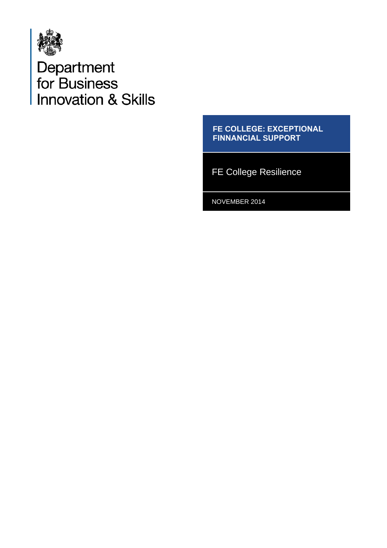

Department<br>for Business<br>Innovation & Skills

**FE COLLEGE: EXCEPTIONAL FINNANCIAL SUPPORT**

FE College Resilience

NOVEMBER 2014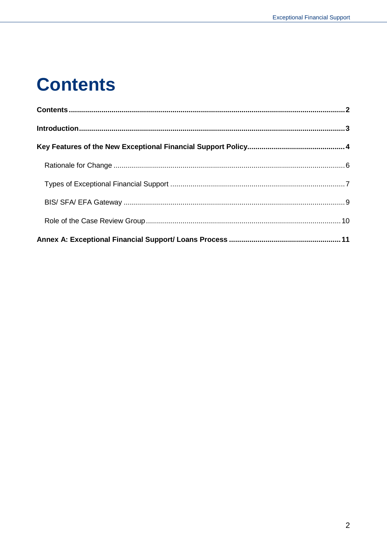#### <span id="page-1-0"></span>**Contents**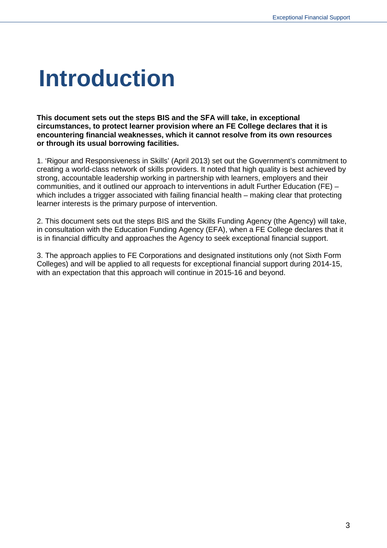#### **Introduction**

**This document sets out the steps BIS and the SFA will take, in exceptional circumstances, to protect learner provision where an FE College declares that it is encountering financial weaknesses, which it cannot resolve from its own resources or through its usual borrowing facilities.** 

1. 'Rigour and Responsiveness in Skills' (April 2013) set out the Government's commitment to creating a world-class network of skills providers. It noted that high quality is best achieved by strong, accountable leadership working in partnership with learners, employers and their communities, and it outlined our approach to interventions in adult Further Education (FE) – which includes a trigger associated with failing financial health – making clear that protecting learner interests is the primary purpose of intervention.

2. This document sets out the steps BIS and the Skills Funding Agency (the Agency) will take, in consultation with the Education Funding Agency (EFA), when a FE College declares that it is in financial difficulty and approaches the Agency to seek exceptional financial support.

3. The approach applies to FE Corporations and designated institutions only (not Sixth Form Colleges) and will be applied to all requests for exceptional financial support during 2014-15, with an expectation that this approach will continue in 2015-16 and beyond.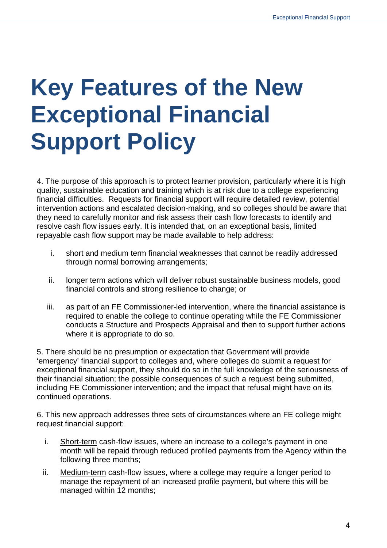### **Key Features of the New Exceptional Financial Support Policy**

4. The purpose of this approach is to protect learner provision, particularly where it is high quality, sustainable education and training which is at risk due to a college experiencing financial difficulties. Requests for financial support will require detailed review, potential intervention actions and escalated decision-making, and so colleges should be aware that they need to carefully monitor and risk assess their cash flow forecasts to identify and resolve cash flow issues early. It is intended that, on an exceptional basis, limited repayable cash flow support may be made available to help address:

- i. short and medium term financial weaknesses that cannot be readily addressed through normal borrowing arrangements;
- ii. longer term actions which will deliver robust sustainable business models, good financial controls and strong resilience to change; or
- iii. as part of an FE Commissioner-led intervention, where the financial assistance is required to enable the college to continue operating while the FE Commissioner conducts a Structure and Prospects Appraisal and then to support further actions where it is appropriate to do so.

5. There should be no presumption or expectation that Government will provide 'emergency' financial support to colleges and, where colleges do submit a request for exceptional financial support, they should do so in the full knowledge of the seriousness of their financial situation; the possible consequences of such a request being submitted, including FE Commissioner intervention; and the impact that refusal might have on its continued operations.

6. This new approach addresses three sets of circumstances where an FE college might request financial support:

- i. Short-term cash-flow issues, where an increase to a college's payment in one month will be repaid through reduced profiled payments from the Agency within the following three months;
- ii. Medium-term cash-flow issues, where a college may require a longer period to manage the repayment of an increased profile payment, but where this will be managed within 12 months;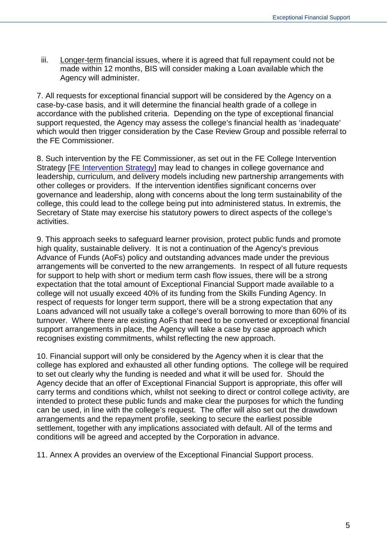iii. Longer-term financial issues, where it is agreed that full repayment could not be made within 12 months, BIS will consider making a Loan available which the Agency will administer.

7. All requests for exceptional financial support will be considered by the Agency on a case-by-case basis, and it will determine the financial health grade of a college in accordance with the published criteria. Depending on the type of exceptional financial support requested, the Agency may assess the college's financial health as 'inadequate' which would then trigger consideration by the Case Review Group and possible referral to the FE Commissioner.

8. Such intervention by the FE Commissioner, as set out in the FE College Intervention Strategy [FE Intervention Strategy] may lead to changes in college governance and leadership, curriculum, and delivery models including new partnership arrangements with other colleges or providers. If the intervention identifies significant concerns over governance and leadership, along with concerns about the long term sustainability of the college, this could lead to the college being put into administered status. In extremis, the Secretary of State may exercise his statutory powers to direct aspects of the college's activities.

9. This approach seeks to safeguard learner provision, protect public funds and promote high quality, sustainable delivery. It is not a continuation of the Agency's previous Advance of Funds (AoFs) policy and outstanding advances made under the previous arrangements will be converted to the new arrangements. In respect of all future requests for support to help with short or medium term cash flow issues, there will be a strong expectation that the total amount of Exceptional Financial Support made available to a college will not usually exceed 40% of its funding from the Skills Funding Agency. In respect of requests for longer term support, there will be a strong expectation that any Loans advanced will not usually take a college's overall borrowing to more than 60% of its turnover. Where there are existing AoFs that need to be converted or exceptional financial support arrangements in place, the Agency will take a case by case approach which recognises existing commitments, whilst reflecting the new approach.

10. Financial support will only be considered by the Agency when it is clear that the college has explored and exhausted all other funding options. The college will be required to set out clearly why the funding is needed and what it will be used for. Should the Agency decide that an offer of Exceptional Financial Support is appropriate, this offer will carry terms and conditions which, whilst not seeking to direct or control college activity, are intended to protect these public funds and make clear the purposes for which the funding can be used, in line with the college's request. The offer will also set out the drawdown arrangements and the repayment profile, seeking to secure the earliest possible settlement, together with any implications associated with default. All of the terms and conditions will be agreed and accepted by the Corporation in advance.

11. Annex A provides an overview of the Exceptional Financial Support process.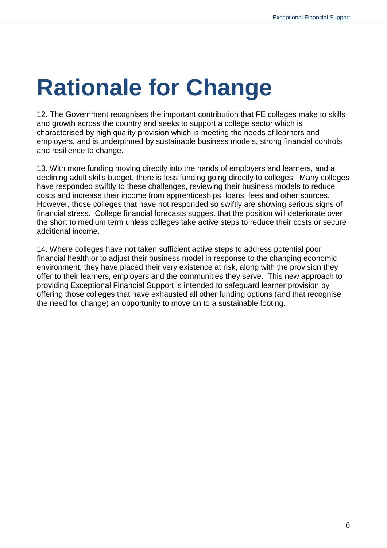# **Rationale for Change**

12. The Government recognises the important contribution that FE colleges make to skills and growth across the country and seeks to support a college sector which is characterised by high quality provision which is meeting the needs of learners and employers, and is underpinned by sustainable business models, strong financial controls and resilience to change.

13. With more funding moving directly into the hands of employers and learners, and a declining adult skills budget, there is less funding going directly to colleges. Many colleges have responded swiftly to these challenges, reviewing their business models to reduce costs and increase their income from apprenticeships, loans, fees and other sources. However, those colleges that have not responded so swiftly are showing serious signs of financial stress. College financial forecasts suggest that the position will deteriorate over the short to medium term unless colleges take active steps to reduce their costs or secure additional income.

14. Where colleges have not taken sufficient active steps to address potential poor financial health or to adjust their business model in response to the changing economic environment, they have placed their very existence at risk, along with the provision they offer to their learners, employers and the communities they serve. This new approach to providing Exceptional Financial Support is intended to safeguard learner provision by offering those colleges that have exhausted all other funding options (and that recognise the need for change) an opportunity to move on to a sustainable footing.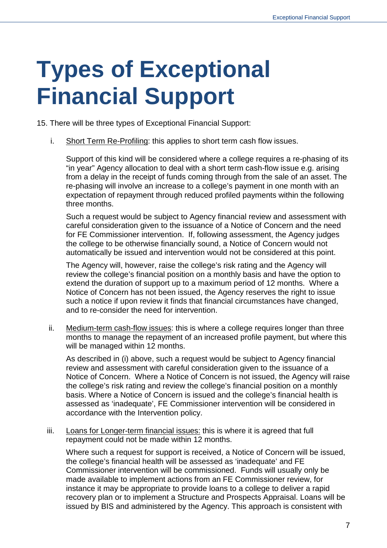### **Types of Exceptional Financial Support**

15. There will be three types of Exceptional Financial Support:

i. Short Term Re-Profiling: this applies to short term cash flow issues.

Support of this kind will be considered where a college requires a re-phasing of its "in year" Agency allocation to deal with a short term cash-flow issue e.g. arising from a delay in the receipt of funds coming through from the sale of an asset. The re-phasing will involve an increase to a college's payment in one month with an expectation of repayment through reduced profiled payments within the following three months.

Such a request would be subject to Agency financial review and assessment with careful consideration given to the issuance of a Notice of Concern and the need for FE Commissioner intervention. If, following assessment, the Agency judges the college to be otherwise financially sound, a Notice of Concern would not automatically be issued and intervention would not be considered at this point.

The Agency will, however, raise the college's risk rating and the Agency will review the college's financial position on a monthly basis and have the option to extend the duration of support up to a maximum period of 12 months. Where a Notice of Concern has not been issued, the Agency reserves the right to issue such a notice if upon review it finds that financial circumstances have changed, and to re-consider the need for intervention.

ii. Medium-term cash-flow issues: this is where a college requires longer than three months to manage the repayment of an increased profile payment, but where this will be managed within 12 months.

As described in (i) above, such a request would be subject to Agency financial review and assessment with careful consideration given to the issuance of a Notice of Concern. Where a Notice of Concern is not issued, the Agency will raise the college's risk rating and review the college's financial position on a monthly basis. Where a Notice of Concern is issued and the college's financial health is assessed as 'inadequate', FE Commissioner intervention will be considered in accordance with the Intervention policy.

iii. Loans for Longer-term financial issues: this is where it is agreed that full repayment could not be made within 12 months.

Where such a request for support is received, a Notice of Concern will be issued, the college's financial health will be assessed as 'inadequate' and FE Commissioner intervention will be commissioned. Funds will usually only be made available to implement actions from an FE Commissioner review, for instance it may be appropriate to provide loans to a college to deliver a rapid recovery plan or to implement a Structure and Prospects Appraisal. Loans will be issued by BIS and administered by the Agency. This approach is consistent with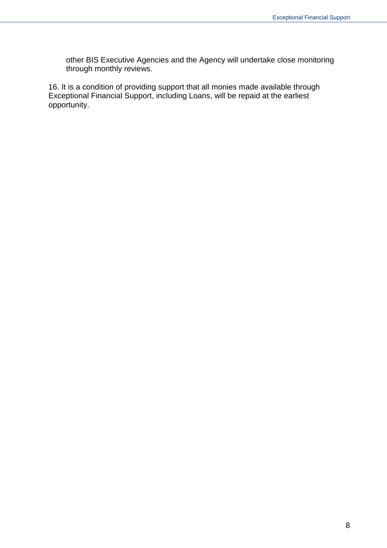other BIS Executive Agencies and the Agency will undertake close monitoring through monthly reviews.

16. It is a condition of providing support that all monies made available through Exceptional Financial Support, including Loans, will be repaid at the earliest opportunity.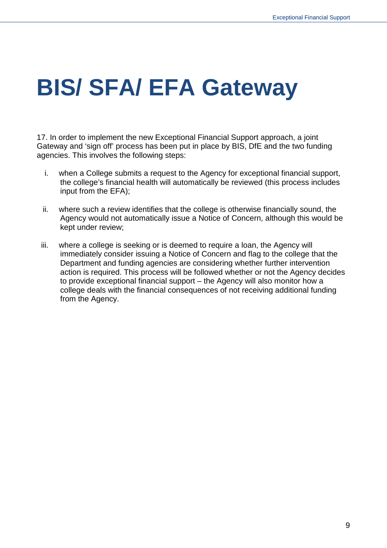### **BIS/ SFA/ EFA Gateway**

17. In order to implement the new Exceptional Financial Support approach, a joint Gateway and 'sign off' process has been put in place by BIS, DfE and the two funding agencies. This involves the following steps:

- i. when a College submits a request to the Agency for exceptional financial support, the college's financial health will automatically be reviewed (this process includes input from the EFA);
- ii. where such a review identifies that the college is otherwise financially sound, the Agency would not automatically issue a Notice of Concern, although this would be kept under review;
- iii. where a college is seeking or is deemed to require a loan, the Agency will immediately consider issuing a Notice of Concern and flag to the college that the Department and funding agencies are considering whether further intervention action is required. This process will be followed whether or not the Agency decides to provide exceptional financial support – the Agency will also monitor how a college deals with the financial consequences of not receiving additional funding from the Agency.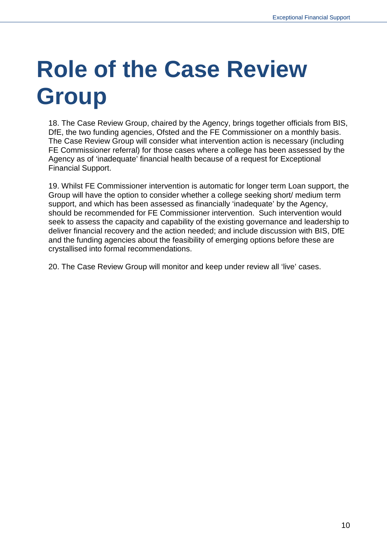# **Role of the Case Review Group**

18. The Case Review Group, chaired by the Agency, brings together officials from BIS, DfE, the two funding agencies, Ofsted and the FE Commissioner on a monthly basis. The Case Review Group will consider what intervention action is necessary (including FE Commissioner referral) for those cases where a college has been assessed by the Agency as of 'inadequate' financial health because of a request for Exceptional Financial Support.

19. Whilst FE Commissioner intervention is automatic for longer term Loan support, the Group will have the option to consider whether a college seeking short/ medium term support, and which has been assessed as financially 'inadequate' by the Agency, should be recommended for FE Commissioner intervention. Such intervention would seek to assess the capacity and capability of the existing governance and leadership to deliver financial recovery and the action needed; and include discussion with BIS, DfE and the funding agencies about the feasibility of emerging options before these are crystallised into formal recommendations.

20. The Case Review Group will monitor and keep under review all 'live' cases.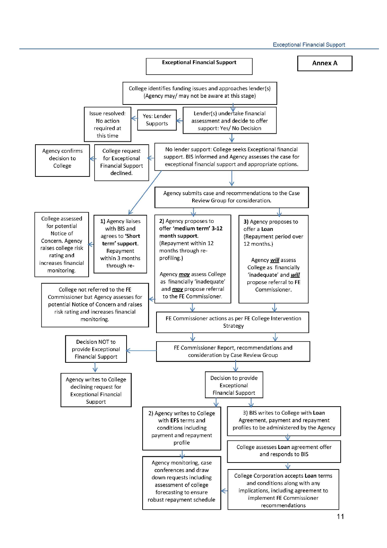